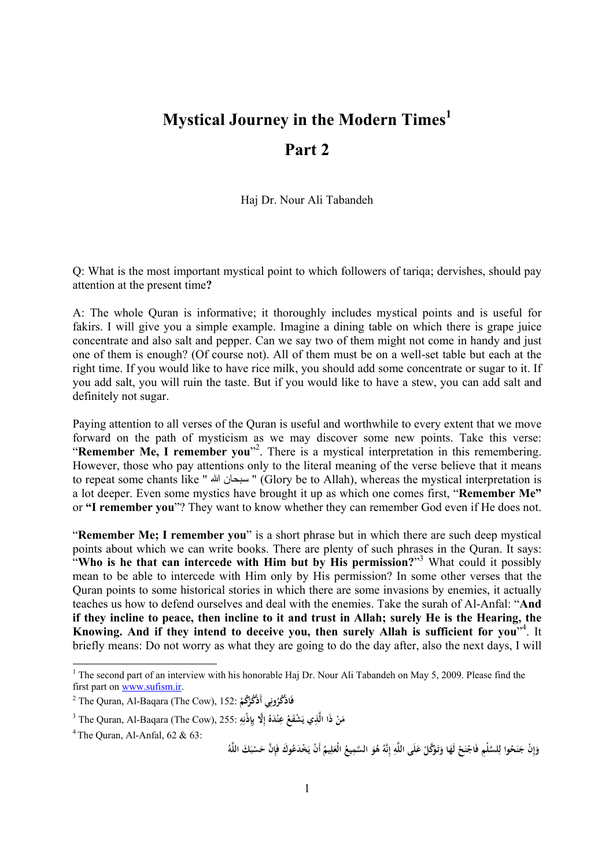## **Mystical Journey in the Modern Times<sup>1</sup> Part 2**

Haj Dr. Nour Ali Tabandeh

Q: What is the most important mystical point to which followers of tariqa; dervishes, should pay attention at the present time**?** 

A: The whole Quran is informative; it thoroughly includes mystical points and is useful for fakirs. I will give you a simple example. Imagine a dining table on which there is grape juice concentrate and also salt and pepper. Can we say two of them might not come in handy and just one of them is enough? (Of course not). All of them must be on a well-set table but each at the right time. If you would like to have rice milk, you should add some concentrate or sugar to it. If you add salt, you will ruin the taste. But if you would like to have a stew, you can add salt and definitely not sugar.

Paying attention to all verses of the Quran is useful and worthwhile to every extent that we move forward on the path of mysticism as we may discover some new points. Take this verse: "**Remember Me, I remember you**" 2 . There is a mystical interpretation in this remembering. However, those who pay attentions only to the literal meaning of the verse believe that it means to repeat some chants like " الله سبحان) " Glory be to Allah), whereas the mystical interpretation is a lot deeper. Even some mystics have brought it up as which one comes first, "**Remember Me"**  or **"I remember you**"? They want to know whether they can remember God even if He does not.

"**Remember Me; I remember you**" is a short phrase but in which there are such deep mystical points about which we can write books. There are plenty of such phrases in the Quran. It says: "**Who is he that can intercede with Him but by His permission?**" <sup>3</sup> What could it possibly mean to be able to intercede with Him only by His permission? In some other verses that the Quran points to some historical stories in which there are some invasions by enemies, it actually teaches us how to defend ourselves and deal with the enemies. Take the surah of Al-Anfal: "**And**  if they incline to peace, then incline to it and trust in Allah; surely He is the Hearing, the **Knowing. And if they intend to deceive you, then surely Allah is sufficient for you**" 4 . It briefly means: Do not worry as what they are going to do the day after, also the next days, I will

<sup>&</sup>lt;sup>1</sup> The second part of an interview with his honorable Haj Dr. Nour Ali Tabandeh on May 5, 2009. Please find the first part on [www.sufism.ir](http://www.sufism.ir).

<sup>2</sup> The Quran, Al-Baqara (The Cow), 152: **ُكم ُكر ِي أَذْ ون ُ ُكر فَاذْ ْ ْ**

<sup>&</sup>lt;sup>3</sup> The Quran, Al-Baqara (The Cow), 255: أَلَّذِي 255. يَشْفَعُ عِنْدَهُ إِلَّا بِإِذْنِهِ $^3$ **ِ ِ ِ إ ِ َ ْ**

<sup>&</sup>lt;sup>4</sup> The Ouran, Al-Anfal,  $62 \& 63$ :

وَإِنْ جَنَحُوا لِلسَّلْمِ فَاجْنَحْ لَهَا وَتَوَكَّلْ عَلَى اللَّهِ إِنَّهُ هُوَ السَّمِيعُ الْعَلِيمُ أَنْ يَخْدَعُوكَ فَإِنَّ حَسْبَكَ اللَّهُ **ِ إ َ ِ َ َ ِ إ ِ َ ْ َ َ ْ ْ ِ ْ**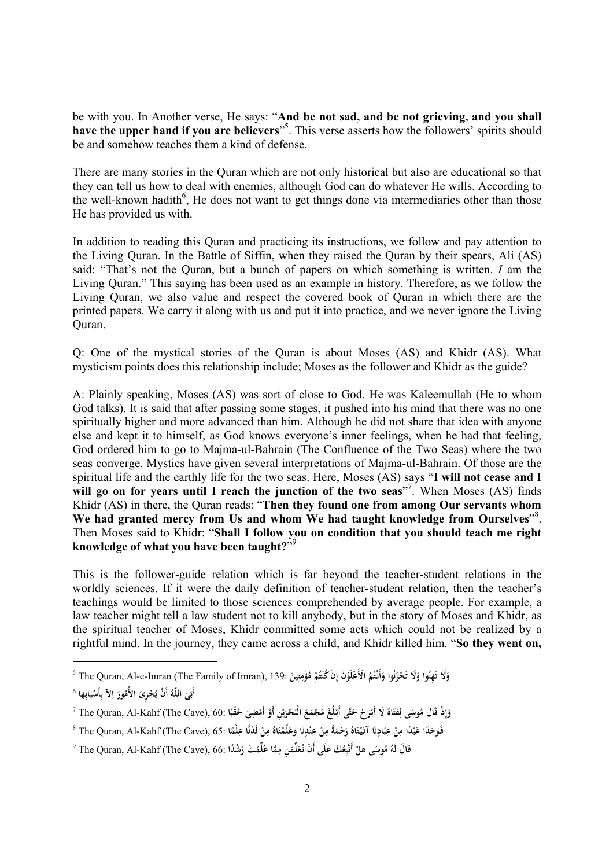be with you. In Another verse, He says: "**And be not sad, and be not grieving, and you shall have the upper hand if you are believers**" 5 . This verse asserts how the followers' spirits should be and somehow teaches them a kind of defense.

There are many stories in the Quran which are not only historical but also are educational so that they can tell us how to deal with enemies, although God can do whatever He wills. According to the well-known hadith<sup>6</sup>, He does not want to get things done via intermediaries other than those He has provided us with.

In addition to reading this Quran and practicing its instructions, we follow and pay attention to the Living Quran. In the Battle of Siffin, when they raised the Quran by their spears, Ali (AS) said: "That's not the Quran, but a bunch of papers on which something is written. *I* am the Living Quran." This saying has been used as an example in history. Therefore, as we follow the Living Quran, we also value and respect the covered book of Quran in which there are the printed papers. We carry it along with us and put it into practice, and we never ignore the Living Quran.

Q: One of the mystical stories of the Quran is about Moses (AS) and Khidr (AS). What mysticism points does this relationship include; Moses as the follower and Khidr as the guide?

A: Plainly speaking, Moses (AS) was sort of close to God. He was Kaleemullah (He to whom God talks). It is said that after passing some stages, it pushed into his mind that there was no one spiritually higher and more advanced than him. Although he did not share that idea with anyone else and kept it to himself, as God knows everyone's inner feelings, when he had that feeling, God ordered him to go to Majma-ul-Bahrain (The Confluence of the Two Seas) where the two seas converge. Mystics have given several interpretations of Majma-ul-Bahrain. Of those are the spiritual life and the earthly life for the two seas. Here, Moses (AS) says "**I will not cease and I will go on for years until I reach the junction of the two seas**" 7 . When Moses (AS) finds Khidr (AS) in there, the Quran reads: "**Then they found one from among Our servants whom We had granted mercy from Us and whom We had taught knowledge from Ourselves**" 8 . Then Moses said to Khidr: "**Shall I follow you on condition that you should teach me right knowledge of what you have been taught?**" 9

This is the follower-guide relation which is far beyond the teacher-student relations in the worldly sciences. If it were the daily definition of teacher-student relation, then the teacher's teachings would be limited to those sciences comprehended by average people. For example, a law teacher might tell a law student not to kill anybody, but in the story of Moses and Khidr, as the spiritual teacher of Moses, Khidr committed some acts which could not be realized by a rightful mind. In the journey, they came across a child, and Khidr killed him. "**So they went on,** 

وَلَا تَهِنُوا وَلَا تَحْزَنُوا وَأَنْتُمُ الْأَعْلَوْنَ إِنْ كُنْتُمْ مُؤْمِنِينَ :139 The Quran, Al-e-Imran (The Family of Imran), 139 **ْ ِ ْ َ ن َ َ َ َ َ ِ ْ**

أَبَىَ اللّهُ أَنْ يُجْرِىَ الأُمُورَ اِلاّ بِأَسْبابِها <sup>6</sup> **َ َ ْ ِ ِ ا َ**

 $^7$  The Quran, Al-Kahf (The Cave), 60: وَإِذْ قَالَ مُوسَى الْبَحْرَيْنِ أَوْ أَمْضِيَ حُقُبًا $\sim$  7 The Quran, Al-Kahf (The Cave), 60: أَبْرَحُ حَتَّى أَبْلُغَ مَجْمَعَ الْبَحْرَيْنِ أَوْ أَمْضِيَ حُقُبًا **ً َ ْ ْ ْ ي َ َ َ ْ َ َ ِ ِ إ َ**

فَوَجَدَا عَبْدًا مِنْ عِبَادِنَا آتَيْنَاهُ رَحْمَةً مِنْ عِنْدِنَا وَعَلَّمْنَاهُ مِنْ لَدُنَّا عِلْمًا :65 The Quran, Al-Kahf (The Cave), 65 \* **ً ِ ْ ِ َ ْ َ َ ُ ن ِ ْ ِ َ َ ْ َ ن َ ِ ْ ِ َ**

قَالَ لَهُ مُوسَى هَلْ أَتَّبِعُكَ عَلَى أَنْ تُعَلِّمَنِ مِمَّا عُلِّمْتَ رُشْدًا :66 ,The Quran, Al-Kahf (The Cave) و **ِ َ َ َ ِ ْ**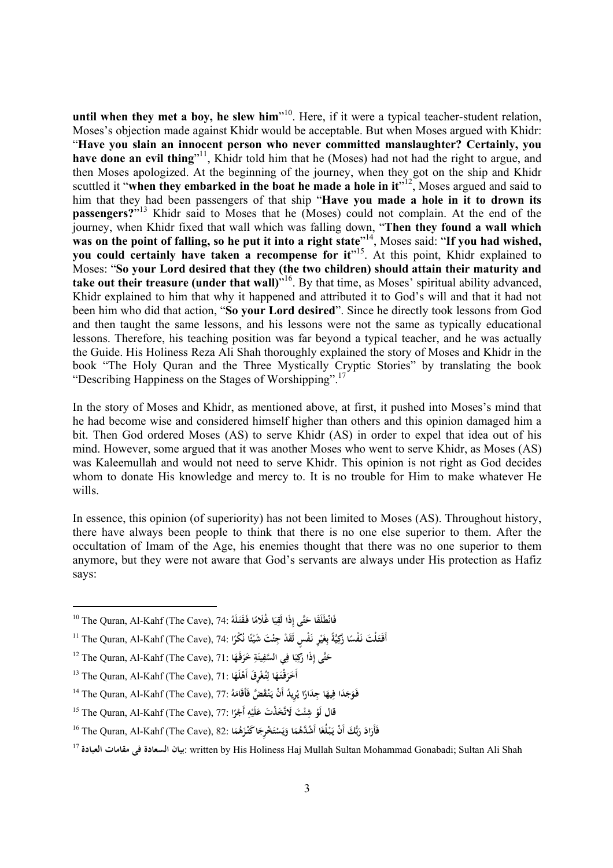**until when they met a boy, he slew him**" 10 . Here, if it were a typical teacher-student relation, Moses's objection made against Khidr would be acceptable. But when Moses argued with Khidr: "**Have you slain an innocent person who never committed manslaughter? Certainly, you**  have **done** an evil thing<sup>"11</sup>, Khidr told him that he (Moses) had not had the right to argue, and then Moses apologized. At the beginning of the journey, when they got on the ship and Khidr scuttled it "**when they embarked in the boat he made a hole in it**" 12 , Moses argued and said to him that they had been passengers of that ship "**Have you made a hole in it to drown its passengers?**" <sup>13</sup> Khidr said to Moses that he (Moses) could not complain. At the end of the journey, when Khidr fixed that wall which was falling down, "**Then they found a wall which**  was on the point of falling, so he put it into a right state"<sup>14</sup>, Moses said: "If you had wished, **you could certainly have taken a recompense for it**" 15 . At this point, Khidr explained to Moses: "**So your Lord desired that they (the two children) should attain their maturity and take out their treasure (under that wall)**" 16 . By that time, as Moses' spiritual ability advanced, Khidr explained to him that why it happened and attributed it to God's will and that it had not been him who did that action, "**So your Lord desired**". Since he directly took lessons from God and then taught the same lessons, and his lessons were not the same as typically educational lessons. Therefore, his teaching position was far beyond a typical teacher, and he was actually the Guide. His Holiness Reza Ali Shah thoroughly explained the story of Moses and Khidr in the book "The Holy Quran and the Three Mystically Cryptic Stories" by translating the book "Describing Happiness on the Stages of Worshipping".<sup>17</sup>

In the story of Moses and Khidr, as mentioned above, at first, it pushed into Moses's mind that he had become wise and considered himself higher than others and this opinion damaged him a bit. Then God ordered Moses (AS) to serve Khidr (AS) in order to expel that idea out of his mind. However, some argued that it was another Moses who went to serve Khidr, as Moses (AS) was Kaleemullah and would not need to serve Khidr. This opinion is not right as God decides whom to donate His knowledge and mercy to. It is no trouble for Him to make whatever He wills.

In essence, this opinion (of superiority) has not been limited to Moses (AS). Throughout history, there have always been people to think that there is no one else superior to them. After the occultation of Imam of the Age, his enemies thought that there was no one superior to them anymore, but they were not aware that God's servants are always under His protection as Hafiz says:

<sup>10</sup> The Quran, Al-Kahf (The Cave), 74: **ُ لَه َقتـ ا َفـ ا غَُلام ي ِذَا لَق تَّى إ ْطَلََقا ح فَان َ ً َ ِ َ**

أَقْتَلْتَ نَفْسًا زَكِيَّةً بِغَيْرِ نَفْسٍ لَقَدْ جِئْتَ شَيْئًا نُكْرًا :The Quran, Al-Kahf (The Cave), 74 **ً ً ْ ْ َ ِ ً َ**

<sup>&</sup>lt;sup>-12</sup> The Quran, Al-Kahf (The Cave), 71: حَتَّى إِذَا رَكِبَا فِي السَّفِينَةِ خَرَفَهَا **َ َ ِ ِ َ َ َ**

 $^{\,13}$  The Quran, Al-Kahf (The Cave), 71: أَخَرَقْتَهَا لِتُغْوِقَ أَهْلَهَا **َ ْ َ َ**

فَوَجَدَا فِيهَا جِدَارًا يُرِيدُ أَنْ يَنْقَضَّ فَأَقَامَهُ :77 The Quran, Al-Kahf (The Cave), 77! **َ َ ً َ**

<sup>15</sup> The Quran, Al-Kahf (The Cave), 77: **قال ْ ئ ْ شِ لَو ْر أَج ه لَي َخ ْذ َت ع َت َلاتَّ ً ِ ْ َ ا**

فَأَرَادَ رَبُّكَ أَنْ يَبْلُغَا أَشْدَّهُمَا وَيَسْتَخْرِجَا كَنْزَهُمَا :<sup>16</sup> The Quran, Al-Kahf (The Cave), 82 **َ َ ْ ي َ َ َ ْ َ َ َ**

<sup>17</sup> **العبادة مقامات فی السعادة بيان**: written by His Holiness Haj Mullah Sultan Mohammad Gonabadi; Sultan Ali Shah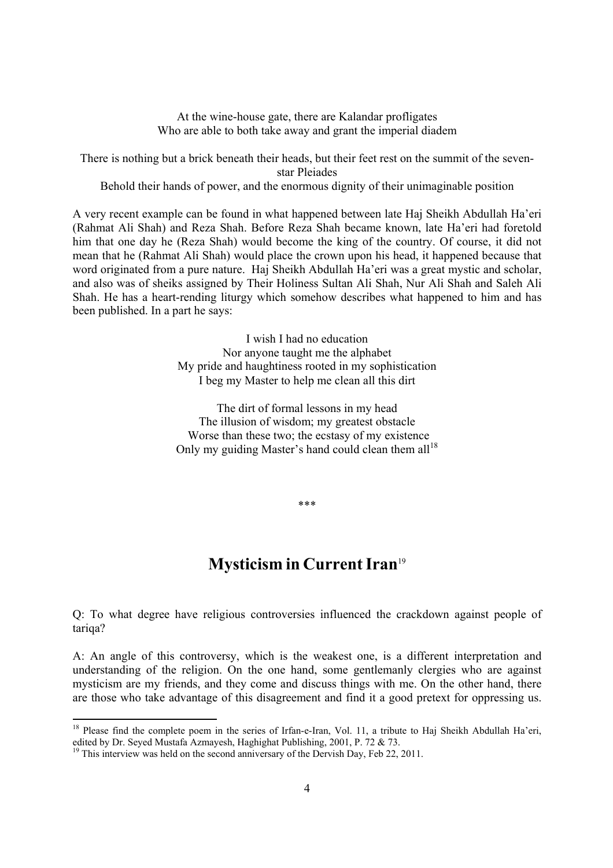At the wine-house gate, there are Kalandar profligates Who are able to both take away and grant the imperial diadem

There is nothing but a brick beneath their heads, but their feet rest on the summit of the sevenstar Pleiades

Behold their hands of power, and the enormous dignity of their unimaginable position

A very recent example can be found in what happened between late Haj Sheikh Abdullah Ha'eri (Rahmat Ali Shah) and Reza Shah. Before Reza Shah became known, late Ha'eri had foretold him that one day he (Reza Shah) would become the king of the country. Of course, it did not mean that he (Rahmat Ali Shah) would place the crown upon his head, it happened because that word originated from a pure nature. Haj Sheikh Abdullah Ha'eri was a great mystic and scholar, and also was of sheiks assigned by Their Holiness Sultan Ali Shah, Nur Ali Shah and Saleh Ali Shah. He has a heart-rending liturgy which somehow describes what happened to him and has been published. In a part he says:

> I wish I had no education Nor anyone taught me the alphabet My pride and haughtiness rooted in my sophistication I beg my Master to help me clean all this dirt

> The dirt of formal lessons in my head The illusion of wisdom; my greatest obstacle Worse than these two; the ecstasy of my existence Only my guiding Master's hand could clean them  $all^{18}$

> > \*\*\*

## **Mysticism in CurrentIran**<sup>19</sup>

Q: To what degree have religious controversies influenced the crackdown against people of tariqa?

A: An angle of this controversy, which is the weakest one, is a different interpretation and understanding of the religion. On the one hand, some gentlemanly clergies who are against mysticism are my friends, and they come and discuss things with me. On the other hand, there are those who take advantage of this disagreement and find it a good pretext for oppressing us.

<sup>&</sup>lt;sup>18</sup> Please find the complete poem in the series of Irfan-e-Iran, Vol. 11, a tribute to Haj Sheikh Abdullah Ha'eri, edited by Dr. Seyed Mustafa Azmayesh, Haghighat Publishing, 2001, P. 72 & 73.

 $19$  This interview was held on the second anniversary of the Dervish Day, Feb 22, 2011.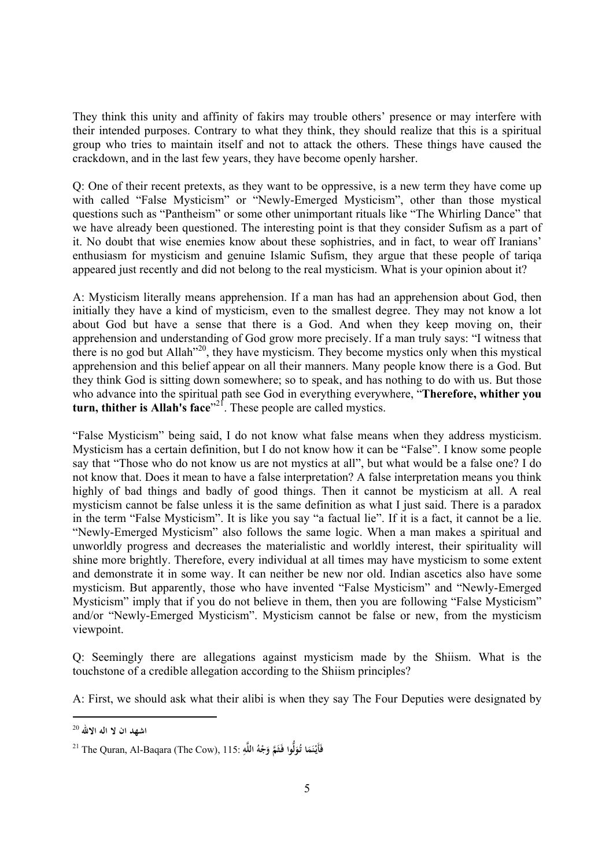They think this unity and affinity of fakirs may trouble others' presence or may interfere with their intended purposes. Contrary to what they think, they should realize that this is a spiritual group who tries to maintain itself and not to attack the others. These things have caused the crackdown, and in the last few years, they have become openly harsher.

Q: One of their recent pretexts, as they want to be oppressive, is a new term they have come up with called "False Mysticism" or "Newly-Emerged Mysticism", other than those mystical questions such as "Pantheism" or some other unimportant rituals like "The Whirling Dance" that we have already been questioned. The interesting point is that they consider Sufism as a part of it. No doubt that wise enemies know about these sophistries, and in fact, to wear off Iranians' enthusiasm for mysticism and genuine Islamic Sufism, they argue that these people of tariqa appeared just recently and did not belong to the real mysticism. What is your opinion about it?

A: Mysticism literally means apprehension. If a man has had an apprehension about God, then initially they have a kind of mysticism, even to the smallest degree. They may not know a lot about God but have a sense that there is a God. And when they keep moving on, their apprehension and understanding of God grow more precisely. If a man truly says: "I witness that there is no god but Allah<sup>320</sup>, they have mysticism. They become mystics only when this mystical apprehension and this belief appear on all their manners. Many people know there is a God. But they think God is sitting down somewhere; so to speak, and has nothing to do with us. But those who advance into the spiritual path see God in everything everywhere, "**Therefore, whither you turn, thither is Allah's face**" 21 . These people are called mystics.

"False Mysticism" being said, I do not know what false means when they address mysticism. Mysticism has a certain definition, but I do not know how it can be "False". I know some people say that "Those who do not know us are not mystics at all", but what would be a false one? I do not know that. Does it mean to have a false interpretation? A false interpretation means you think highly of bad things and badly of good things. Then it cannot be mysticism at all. A real mysticism cannot be false unless it is the same definition as what I just said. There is a paradox in the term "False Mysticism". It is like you say "a factual lie". If it is a fact, it cannot be a lie. "Newly-Emerged Mysticism" also follows the same logic. When a man makes a spiritual and unworldly progress and decreases the materialistic and worldly interest, their spirituality will shine more brightly. Therefore, every individual at all times may have mysticism to some extent and demonstrate it in some way. It can neither be new nor old. Indian ascetics also have some mysticism. But apparently, those who have invented "False Mysticism" and "Newly-Emerged Mysticism" imply that if you do not believe in them, then you are following "False Mysticism" and/or "Newly-Emerged Mysticism". Mysticism cannot be false or new, from the mysticism viewpoint.

Q: Seemingly there are allegations against mysticism made by the Shiism. What is the touchstone of a credible allegation according to the Shiism principles?

A: First, we should ask what their alibi is when they say The Four Deputies were designated by

**اشهد ان لا اله الاالله** <sup>20</sup>

<sup>21</sup> The Quran, Al-Baqara (The Cow), 115: **ِ ه اللَّ ُ ه َج َ َّم و ُّوا َفـث ُو ا تـ َم ن فَأَيـْ ل َ َ ْ**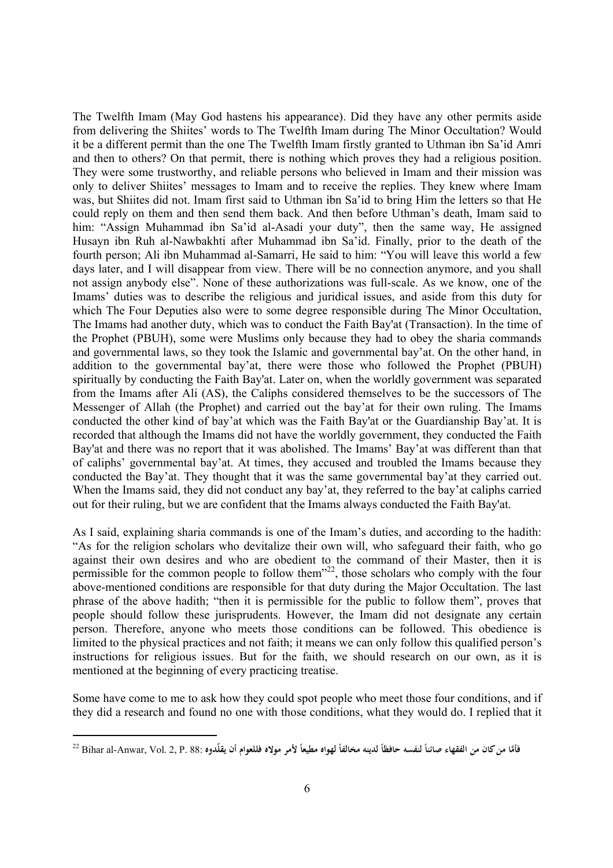The Twelfth Imam (May God hastens his appearance). Did they have any other permits aside from delivering the Shiites' words to The Twelfth Imam during The Minor Occultation? Would it be a different permit than the one The Twelfth Imam firstly granted to Uthman ibn Sa'id Amri and then to others? On that permit, there is nothing which proves they had a religious position. They were some trustworthy, and reliable persons who believed in Imam and their mission was only to deliver Shiites' messages to Imam and to receive the replies. They knew where Imam was, but Shiites did not. Imam first said to Uthman ibn Sa'id to bring Him the letters so that He could reply on them and then send them back. And then before Uthman's death, Imam said to him: "Assign Muhammad ibn Sa'id al-Asadi your duty", then the same way, He assigned Husayn ibn Ruh al-Nawbakhti after Muhammad ibn Sa'id. Finally, prior to the death of the fourth person; Ali ibn Muhammad al-Samarri, He said to him: "You will leave this world a few days later, and I will disappear from view. There will be no connection anymore, and you shall not assign anybody else". None of these authorizations was full-scale. As we know, one of the Imams' duties was to describe the religious and juridical issues, and aside from this duty for which The Four Deputies also were to some degree responsible during The Minor Occultation, The Imams had another duty, which was to conduct the Faith Bay'at (Transaction). In the time of the Prophet (PBUH), some were Muslims only because they had to obey the sharia commands and governmental laws, so they took the Islamic and governmental bay'at. On the other hand, in addition to the governmental bay'at, there were those who followed the Prophet (PBUH) spiritually by conducting the Faith Bay'at. Later on, when the worldly government was separated from the Imams after Ali (AS), the Caliphs considered themselves to be the successors of The Messenger of Allah (the Prophet) and carried out the bay'at for their own ruling. The Imams conducted the other kind of bay'at which was the Faith Bay'at or the Guardianship Bay'at. It is recorded that although the Imams did not have the worldly government, they conducted the Faith Bay'at and there was no report that it was abolished. The Imams' Bay'at was different than that of caliphs' governmental bay'at. At times, they accused and troubled the Imams because they conducted the Bay'at. They thought that it was the same governmental bay'at they carried out. When the Imams said, they did not conduct any bay'at, they referred to the bay'at caliphs carried out for their ruling, but we are confident that the Imams always conducted the Faith Bay'at.

As I said, explaining sharia commands is one of the Imam's duties, and according to the hadith: "As for the religion scholars who devitalize their own will, who safeguard their faith, who go against their own desires and who are obedient to the command of their Master, then it is permissible for the common people to follow them $^{32}$ , those scholars who comply with the four above-mentioned conditions are responsible for that duty during the Major Occultation. The last phrase of the above hadith; "then it is permissible for the public to follow them", proves that people should follow these jurisprudents. However, the Imam did not designate any certain person. Therefore, anyone who meets those conditions can be followed. This obedience is limited to the physical practices and not faith; it means we can only follow this qualified person's instructions for religious issues. But for the faith, we should research on our own, as it is mentioned at the beginning of every practicing treatise.

Some have come to me to ask how they could spot people who meet those four conditions, and if they did a research and found no one with those conditions, what they would do. I replied that it

فأمَّا من كان من الفقهاء صائناً لنفسه حافظاً لدينه مخالفاً لهواه مطيعاً لأمر مولاه فللعوام أن يقلّدوه :Bihar al-Anwar, Vol. 2, P. 88 **ً ً ً**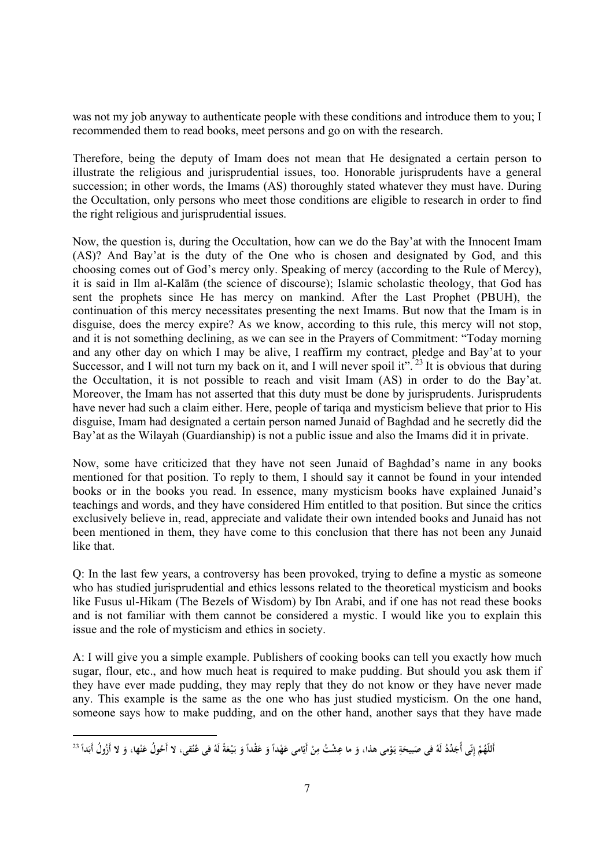was not my job anyway to authenticate people with these conditions and introduce them to you; I recommended them to read books, meet persons and go on with the research.

Therefore, being the deputy of Imam does not mean that He designated a certain person to illustrate the religious and jurisprudential issues, too. Honorable jurisprudents have a general succession; in other words, the Imams (AS) thoroughly stated whatever they must have. During the Occultation, only persons who meet those conditions are eligible to research in order to find the right religious and jurisprudential issues.

Now, the question is, during the Occultation, how can we do the Bay'at with the Innocent Imam (AS)? And Bay'at is the duty of the One who is chosen and designated by God, and this choosing comes out of God's mercy only. Speaking of mercy (according to the Rule of Mercy), it is said in Ilm al-Kalām (the science of discourse); Islamic scholastic theology, that God has sent the prophets since He has mercy on mankind. After the Last Prophet (PBUH), the continuation of this mercy necessitates presenting the next Imams. But now that the Imam is in disguise, does the mercy expire? As we know, according to this rule, this mercy will not stop, and it is not something declining, as we can see in the Prayers of Commitment: "Today morning and any other day on which I may be alive, I reaffirm my contract, pledge and Bay'at to your Successor, and I will not turn my back on it, and I will never spoil it".<sup>23</sup>It is obvious that during the Occultation, it is not possible to reach and visit Imam (AS) in order to do the Bay'at. Moreover, the Imam has not asserted that this duty must be done by jurisprudents. Jurisprudents have never had such a claim either. Here, people of tariqa and mysticism believe that prior to His disguise, Imam had designated a certain person named Junaid of Baghdad and he secretly did the Bay'at as the Wilayah (Guardianship) is not a public issue and also the Imams did it in private.

Now, some have criticized that they have not seen Junaid of Baghdad's name in any books mentioned for that position. To reply to them, I should say it cannot be found in your intended books or in the books you read. In essence, many mysticism books have explained Junaid's teachings and words, and they have considered Him entitled to that position. But since the critics exclusively believe in, read, appreciate and validate their own intended books and Junaid has not been mentioned in them, they have come to this conclusion that there has not been any Junaid like that.

Q: In the last few years, a controversy has been provoked, trying to define a mystic as someone who has studied jurisprudential and ethics lessons related to the theoretical mysticism and books like Fusus ul-Hikam (The Bezels of Wisdom) by Ibn Arabi, and if one has not read these books and is not familiar with them cannot be considered a mystic. I would like you to explain this issue and the role of mysticism and ethics in society.

A: I will give you a simple example. Publishers of cooking books can tell you exactly how much sugar, flour, etc., and how much heat is required to make pudding. But should you ask them if they have ever made pudding, they may reply that they do not know or they have never made any. This example is the same as the one who has just studied mysticism. On the one hand, someone says how to make pudding, and on the other hand, another says that they have made

أَللَّهُمَّ إِنِّى أُجَدِّدُ لَهُ فى صَبيحَةِ يَوْمى هذا، وَ ما عِشْتُ مِنْ أَيّامى عَهْداً وَ عَقْداً وَ بَيْعَةً لَهُ فى عُنُقى، لا أَحُولُ عَنْها، وَ لا أَزُولُ أَبَداً <sup>23</sup> **َ ن ِ ِ َ ْ ْ ِ َ َ َ َ َ َ َ**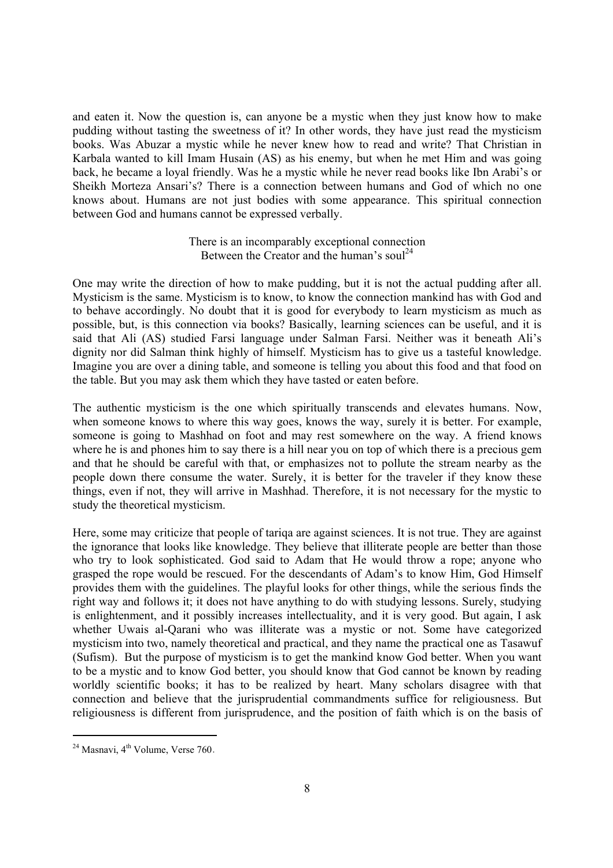and eaten it. Now the question is, can anyone be a mystic when they just know how to make pudding without tasting the sweetness of it? In other words, they have just read the mysticism books. Was Abuzar a mystic while he never knew how to read and write? That Christian in Karbala wanted to kill Imam Husain (AS) as his enemy, but when he met Him and was going back, he became a loyal friendly. Was he a mystic while he never read books like Ibn Arabi's or Sheikh Morteza Ansari's? There is a connection between humans and God of which no one knows about. Humans are not just bodies with some appearance. This spiritual connection between God and humans cannot be expressed verbally.

> There is an incomparably exceptional connection Between the Creator and the human's soul<sup>24</sup>

One may write the direction of how to make pudding, but it is not the actual pudding after all. Mysticism is the same. Mysticism is to know, to know the connection mankind has with God and to behave accordingly. No doubt that it is good for everybody to learn mysticism as much as possible, but, is this connection via books? Basically, learning sciences can be useful, and it is said that Ali (AS) studied Farsi language under Salman Farsi. Neither was it beneath Ali's dignity nor did Salman think highly of himself. Mysticism has to give us a tasteful knowledge. Imagine you are over a dining table, and someone is telling you about this food and that food on the table. But you may ask them which they have tasted or eaten before.

The authentic mysticism is the one which spiritually transcends and elevates humans. Now, when someone knows to where this way goes, knows the way, surely it is better. For example, someone is going to Mashhad on foot and may rest somewhere on the way. A friend knows where he is and phones him to say there is a hill near you on top of which there is a precious gem and that he should be careful with that, or emphasizes not to pollute the stream nearby as the people down there consume the water. Surely, it is better for the traveler if they know these things, even if not, they will arrive in Mashhad. Therefore, it is not necessary for the mystic to study the theoretical mysticism.

Here, some may criticize that people of tariqa are against sciences. It is not true. They are against the ignorance that looks like knowledge. They believe that illiterate people are better than those who try to look sophisticated. God said to Adam that He would throw a rope; anyone who grasped the rope would be rescued. For the descendants of Adam's to know Him, God Himself provides them with the guidelines. The playful looks for other things, while the serious finds the right way and follows it; it does not have anything to do with studying lessons. Surely, studying is enlightenment, and it possibly increases intellectuality, and it is very good. But again, I ask whether Uwais al-Qarani who was illiterate was a mystic or not. Some have categorized mysticism into two, namely theoretical and practical, and they name the practical one as Tasawuf (Sufism). But the purpose of mysticism is to get the mankind know God better. When you want to be a mystic and to know God better, you should know that God cannot be known by reading worldly scientific books; it has to be realized by heart. Many scholars disagree with that connection and believe that the jurisprudential commandments suffice for religiousness. But religiousness is different from jurisprudence, and the position of faith which is on the basis of

<sup>&</sup>lt;sup>24</sup> Masnavi, 4<sup>th</sup> Volume, Verse 760.